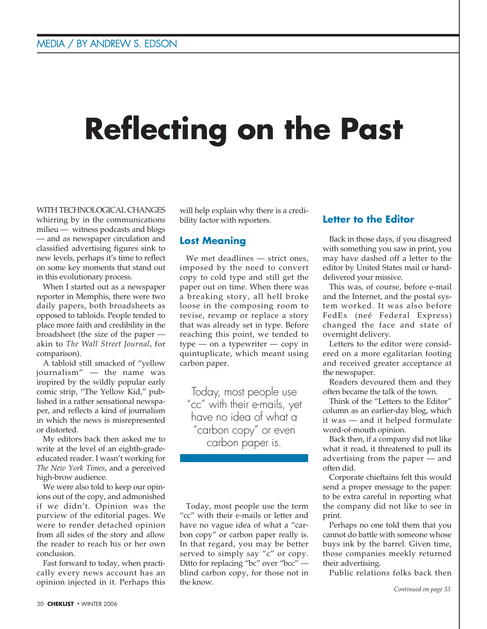# **Reflecting on the Past**

WITH TECHNOLOGICAL CHANGES whirring by in the communications milieu — witness podcasts and blogs — and as newspaper circulation and classified advertising figures sink to new levels, perhaps it's time to reflect on some key moments that stand out in this evolutionary process.

When I started out as a newspaper reporter in Memphis, there were two daily papers, both broadsheets as opposed to tabloids. People tended to place more faith and credibility in the broadsheet (the size of the paper akin to *The Wall Street Journal*, for comparison).

A tabloid still smacked of "yellow journalism" — the name was inspired by the wildly popular early comic strip, "The Yellow Kid," published in a rather sensational newspaper, and reflects a kind of journalism in which the news is misrepresented or distorted.

My editors back then asked me to write at the level of an eighth-gradeeducated reader. I wasn't working for *The New York Times*, and a perceived high-brow audience.

We were also told to keep our opinions out of the copy, and admonished if we didn't. Opinion was the purview of the editorial pages. We were to render detached opinion from all sides of the story and allow the reader to reach his or her own conclusion.

Fast forward to today, when practically every news account has an opinion injected in it. Perhaps this

will help explain why there is a credibility factor with reporters.

# **Lost Meaning**

We met deadlines — strict ones, imposed by the need to convert copy to cold type and still get the paper out on time. When there was a breaking story, all hell broke loose in the composing room to revise, revamp or replace a story that was already set in type. Before reaching this point, we tended to type — on a typewriter — copy in quintuplicate, which meant using carbon paper.

Today, most people use "cc" with their e-mails, yet have no idea of what a "carbon copy" or even carbon paper is.

Today, most people use the term "cc" with their e-mails or letter and have no vague idea of what a "carbon copy" or carbon paper really is. In that regard, you may be better served to simply say "c" or copy. Ditto for replacing "bc" over "bcc" blind carbon copy, for those not in the know.

## **Letter to the Editor**

Back in those days, if you disagreed with something you saw in print, you may have dashed off a letter to the editor by United States mail or handdelivered your missive.

This was, of course, before e-mail and the Internet, and the postal system worked. It was also before FedEx (neé Federal Express) changed the face and state of overnight delivery.

Letters to the editor were considered on a more egalitarian footing and received greater acceptance at the newspaper.

Readers devoured them and they often became the talk of the town.

Think of the "Letters to the Editor" column as an earlier-day blog, which it was — and it helped formulate word-of-mouth opinion.

Back then, if a company did not like what it read, it threatened to pull its advertising from the paper — and often did.

Corporate chieftains felt this would send a proper message to the paper: to be extra careful in reporting what the company did not like to see in print.

Perhaps no one told them that you cannot do battle with someone whose buys ink by the barrel. Given time, those companies meekly returned their advertising.

Public relations folks back then